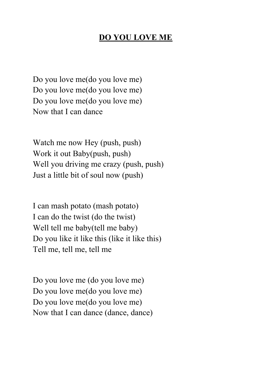## **DO YOU LOVE ME**

Do you love me(do you love me) Do you love me(do you love me) Do you love me(do you love me) Now that I can dance

Watch me now Hey (push, push) Work it out Baby(push, push) Well you driving me crazy (push, push) Just a little bit of soul now (push)

I can mash potato (mash potato) I can do the twist (do the twist) Well tell me baby(tell me baby) Do you like it like this (like it like this) Tell me, tell me, tell me

Do you love me (do you love me) Do you love me(do you love me) Do you love me(do you love me) Now that I can dance (dance, dance)